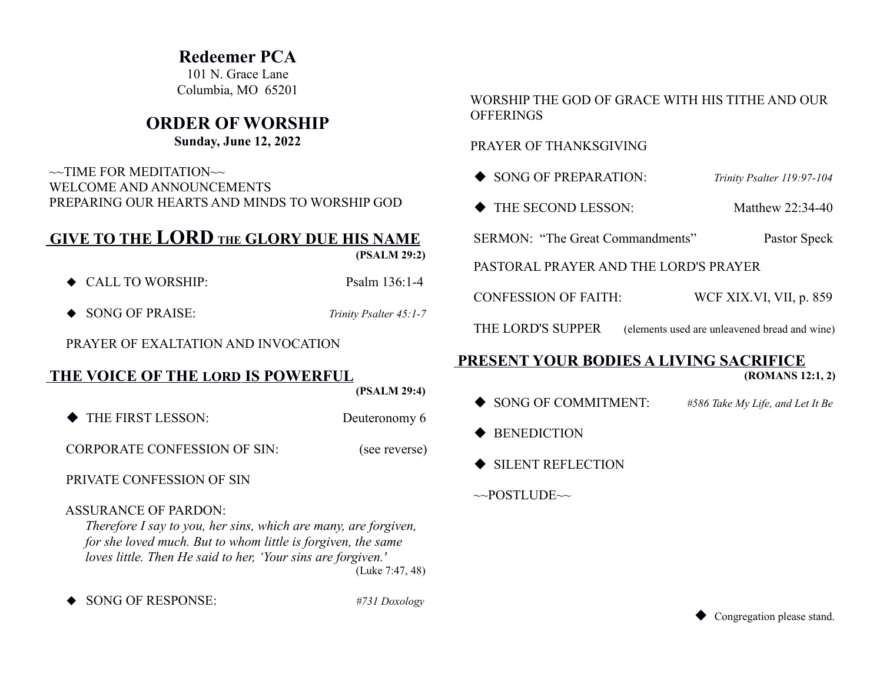## **Redeemer PCA**

101 N. Grace Lane Columbia, MO 65201

# **ORDER OF WORSHIP**

### **Sunday, June 12, 2022**

 $\sim$ TIME FOR MEDITATION $\sim$  WELCOME AND ANNOUNCEMENTS PREPARING OUR HEARTS AND MINDS TO WORSHIP GOD

# **GIVE TO THE LORD THE GLORY DUE HIS NAME**

 **(PSALM 29:2)**

- ◆ CALL TO WORSHIP: Psalm 136:1-4
- ◆ SONG OF PRAISE: *Trinity Psalter 45:1-7*

PRAYER OF EXALTATION AND INVOCATION

### **THE VOICE OF THE LORD IS POWERFUL**

 **(PSALM 29:4)**

THE FIRST LESSON: Deuteronomy 6

CORPORATE CONFESSION OF SIN: (see reverse)

PRIVATE CONFESSION OF SIN

#### ASSURANCE OF PARDON:

*Therefore I say to you, her sins, which are many, are forgiven, for she loved much. But to whom little is forgiven, the same loves little. Then He said to her, 'Your sins are forgiven.'* 

(Luke 7:47, 48)

SONG OF RESPONSE: *#731 Doxology*

#### WORSHIP THE GOD OF GRACE WITH HIS TITHE AND OUR **OFFERINGS**

#### PRAYER OF THANKSGIVING

- ◆ SONG OF PREPARATION: *Trinity Psalter 119:97-104*
- ◆ THE SECOND LESSON: Matthew 22:34-40

SERMON: "The Great Commandments" Pastor Speck

PASTORAL PRAYER AND THE LORD'S PRAYER

CONFESSION OF FAITH: WCF XIX.VI, VII, p. 859

THE LORD'S SUPPER (elements used are unleavened bread and wine)

## **PRESENT YOUR BODIES A LIVING SACRIFICE**

 **(ROMANS 12:1, 2)**

- SONG OF COMMITMENT: *#586 Take My Life, and Let It Be*
- ◆ BENEDICTION
- SILENT REFLECTION

 $\sim$ POSTLUDE $\sim$